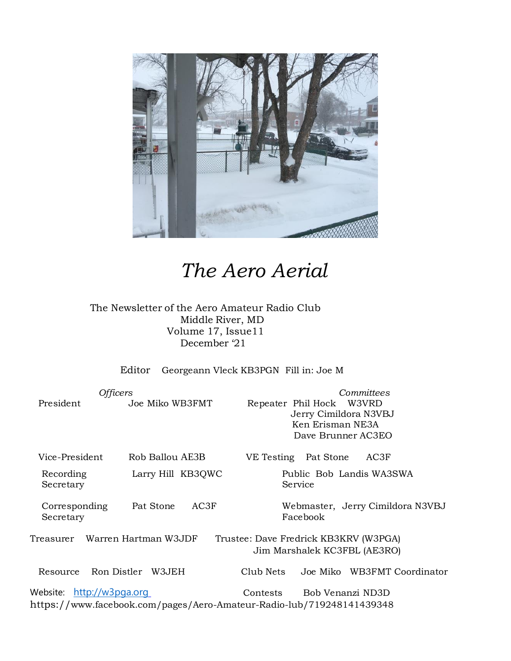

# *The Aero Aerial*

#### The Newsletter of the Aero Amateur Radio Club Middle River, MD Volume 17, Issue11 December '21

Editor Georgeann Vleck KB3PGN Fill in: Joe M

| <i><b>Officers</b></i>                                                                                     |                              | Committees                                                                                     |  |  |  |  |
|------------------------------------------------------------------------------------------------------------|------------------------------|------------------------------------------------------------------------------------------------|--|--|--|--|
| President                                                                                                  | Joe Miko WB3FMT              | W3VRD<br>Repeater Phil Hock<br>Jerry Cimildora N3VBJ<br>Ken Erisman NE3A<br>Dave Brunner AC3EO |  |  |  |  |
| Vice-President                                                                                             | Rob Ballou AE3B              | VE Testing<br>Pat Stone<br>AC3F                                                                |  |  |  |  |
| Recording<br>Secretary                                                                                     | Larry Hill KB3QWC            | Public Bob Landis WA3SWA<br>Service                                                            |  |  |  |  |
| Corresponding<br>Secretary                                                                                 | Pat Stone<br>AC3F            | Webmaster, Jerry Cimildora N3VBJ<br>Facebook                                                   |  |  |  |  |
| Warren Hartman W3JDF<br>Trustee: Dave Fredrick KB3KRV (W3PGA)<br>Treasurer<br>Jim Marshalek KC3FBL (AE3RO) |                              |                                                                                                |  |  |  |  |
| Ron Distler<br>Resource                                                                                    | W3JEH                        | Club Nets<br>Joe Miko WB3FMT Coordinator                                                       |  |  |  |  |
| Website: http://w3pga.org                                                                                  | Bob Venanzi ND3D<br>Contests |                                                                                                |  |  |  |  |
| https://www.facebook.com/pages/Aero-Amateur-Radio-lub/719248141439348                                      |                              |                                                                                                |  |  |  |  |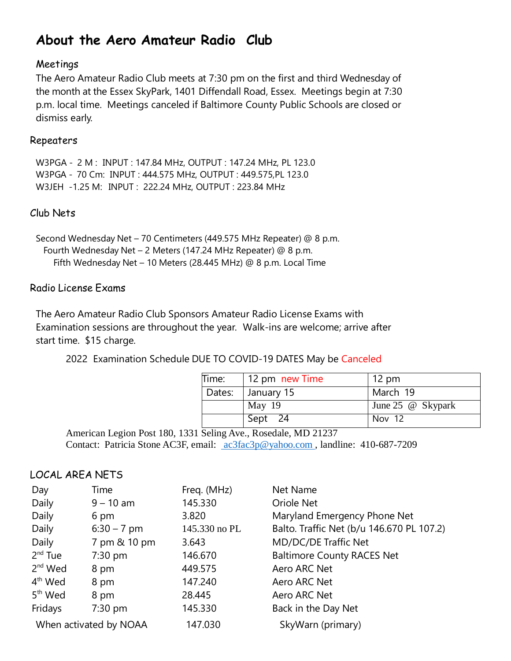### **About the Aero Amateur Radio Club**

#### Meetings

The Aero Amateur Radio Club meets at 7:30 pm on the first and third Wednesday of the month at the Essex SkyPark, 1401 Diffendall Road, Essex. Meetings begin at 7:30 p.m. local time. Meetings canceled if Baltimore County Public Schools are closed or dismiss early.

#### Repeaters

W3PGA - 2 M : INPUT : 147.84 MHz, OUTPUT : 147.24 MHz, PL 123.0 W3PGA - 70 Cm: INPUT : 444.575 MHz, OUTPUT : 449.575,PL 123.0 W3JEH -1.25 M: INPUT : 222.24 MHz, OUTPUT : 223.84 MHz

#### Club Nets

Second Wednesday Net – 70 Centimeters (449.575 MHz Repeater) @ 8 p.m. Fourth Wednesday Net – 2 Meters (147.24 MHz Repeater) @ 8 p.m. Fifth Wednesday Net – 10 Meters (28.445 MHz) @ 8 p.m. Local Time

#### Radio License Exams

The Aero Amateur Radio Club Sponsors Amateur Radio License Exams with Examination sessions are throughout the year. Walk-ins are welcome; arrive after start time. \$15 charge.

#### 2022 Examination Schedule DUE TO COVID-19 DATES May be Canceled

| Time: | 12 pm new Time    | $12 \text{ pm}$          |
|-------|-------------------|--------------------------|
|       | Dates: January 15 | March 19                 |
|       | $\sqrt{$ May 19   | June 25 $\omega$ Skypark |
|       | Sept 24           | Nov 12                   |

American Legion Post 180, 1331 Seling Ave., Rosedale, MD 21237 Contact: Patricia Stone AC3F, email:  $ac3fac3p@yahoo.com$ , landline: 410-687-7209

#### LOCAL AREA NETS

| Day                    | Time          | Freq. (MHz)   | Net Name                                  |
|------------------------|---------------|---------------|-------------------------------------------|
| Daily                  | $9 - 10$ am   | 145.330       | Oriole Net                                |
| Daily                  | 6 pm          | 3.820         | Maryland Emergency Phone Net              |
| Daily                  | $6:30 - 7$ pm | 145.330 no PL | Balto. Traffic Net (b/u 146.670 PL 107.2) |
| Daily                  | 7 pm & 10 pm  | 3.643         | MD/DC/DE Traffic Net                      |
| $2nd$ Tue              | 7:30 pm       | 146.670       | <b>Baltimore County RACES Net</b>         |
| $2nd$ Wed              | 8 pm          | 449.575       | Aero ARC Net                              |
| $4th$ Wed              | 8 pm          | 147.240       | Aero ARC Net                              |
| 5 <sup>th</sup> Wed    | 8 pm          | 28.445        | Aero ARC Net                              |
| Fridays                | $7:30$ pm     | 145.330       | Back in the Day Net                       |
| When activated by NOAA |               | 147.030       | SkyWarn (primary)                         |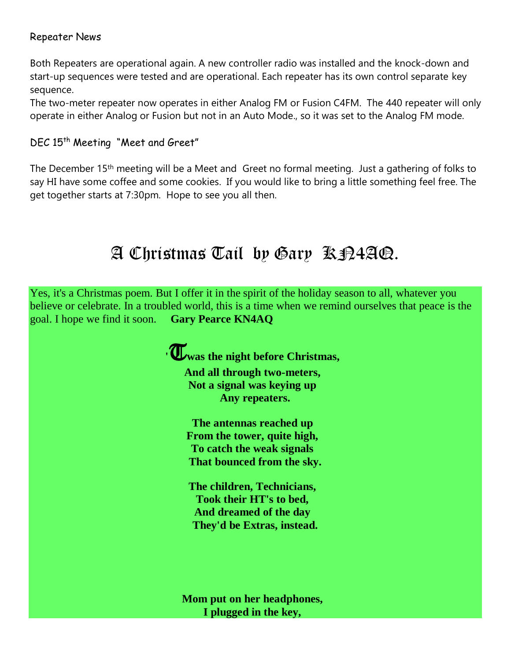#### Repeater News

Both Repeaters are operational again. A new controller radio was installed and the knock-down and start-up sequences were tested and are operational. Each repeater has its own control separate key sequence.

The two-meter repeater now operates in either Analog FM or Fusion C4FM. The 440 repeater will only operate in either Analog or Fusion but not in an Auto Mode., so it was set to the Analog FM mode.

#### DEC 15<sup>th</sup> Meeting "Meet and Greet"

The December 15<sup>th</sup> meeting will be a Meet and Greet no formal meeting. Just a gathering of folks to say HI have some coffee and some cookies. If you would like to bring a little something feel free. The get together starts at 7:30pm. Hope to see you all then.

## A Christmas Tail by Gary R. P.4AQ.

Yes, it's a Christmas poem. But I offer it in the spirit of the holiday season to all, whatever you believe or celebrate. In a troubled world, this is a time when we remind ourselves that peace is the goal. I hope we find it soon. **Gary Pearce KN4AQ** 

> **'**T**was the night before Christmas, And all through two-meters, Not a signal was keying up Any repeaters. The antennas reached up From the tower, quite high, To catch the weak signals That bounced from the sky. The children, Technicians, Took their HT's to bed, And dreamed of the day They'd be Extras, instead.**

> > **Mom put on her headphones, I plugged in the key,**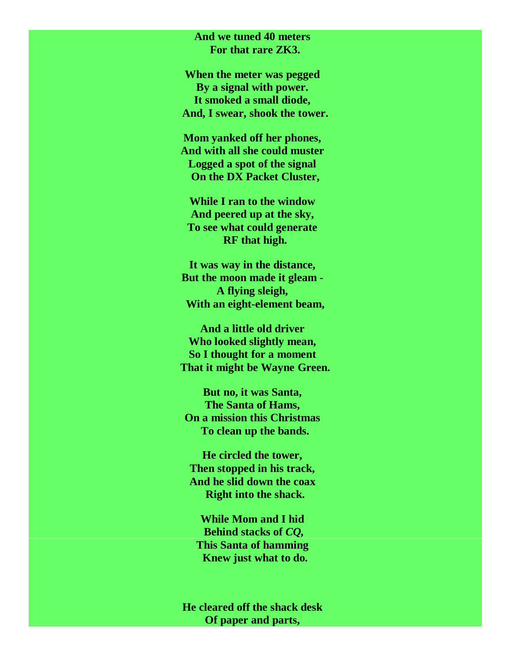#### **And we tuned 40 meters For that rare ZK3.**

**When the meter was pegged By a signal with power. It smoked a small diode, And, I swear, shook the tower.**

**Mom yanked off her phones, And with all she could muster Logged a spot of the signal On the DX Packet Cluster,**

**While I ran to the window And peered up at the sky, To see what could generate RF that high.**

**It was way in the distance, But the moon made it gleam - A flying sleigh, With an eight-element beam,**

**And a little old driver Who looked slightly mean, So I thought for a moment That it might be Wayne Green.**

**But no, it was Santa, The Santa of Hams, On a mission this Christmas To clean up the bands.**

**He circled the tower, Then stopped in his track, And he slid down the coax Right into the shack.**

**While Mom and I hid Behind stacks of** *CQ,* **This Santa of hamming Knew just what to do.**

**He cleared off the shack desk Of paper and parts,**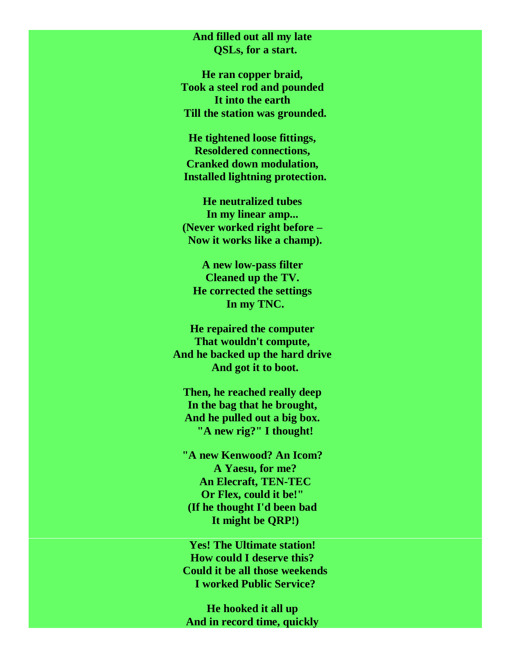**And filled out all my late QSLs, for a start.**

**He ran copper braid, Took a steel rod and pounded It into the earth Till the station was grounded.**

**He tightened loose fittings, Resoldered connections, Cranked down modulation, Installed lightning protection.**

**He neutralized tubes In my linear amp... (Never worked right before – Now it works like a champ).**

**A new low-pass filter Cleaned up the TV. He corrected the settings In my TNC.**

**He repaired the computer That wouldn't compute, And he backed up the hard drive And got it to boot.**

**Then, he reached really deep In the bag that he brought, And he pulled out a big box. "A new rig?" I thought!**

**"A new Kenwood? An Icom? A Yaesu, for me? An Elecraft, TEN-TEC Or Flex, could it be!" (If he thought I'd been bad It might be QRP!)**

**Yes! The Ultimate station! How could I deserve this? Could it be all those weekends I worked Public Service?**

**He hooked it all up And in record time, quickly**